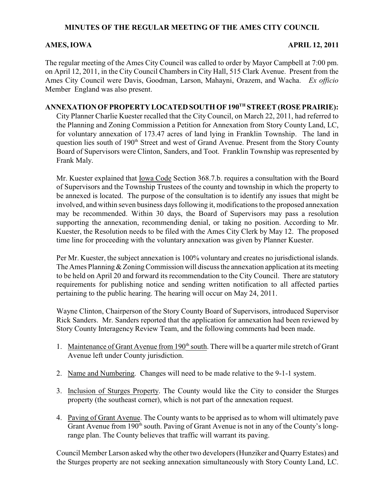## **MINUTES OF THE REGULAR MEETING OF THE AMES CITY COUNCIL**

## **AMES, IOWA APRIL 12, 2011**

The regular meeting of the Ames City Council was called to order by Mayor Campbell at 7:00 pm. on April 12, 2011, in the City Council Chambers in City Hall, 515 Clark Avenue. Present from the Ames City Council were Davis, Goodman, Larson, Mahayni, Orazem, and Wacha. *Ex officio* Member England was also present.

## **ANNEXATION OF PROPERTY LOCATED SOUTH OF 190<sup>TH</sup> STREET (ROSE PRAIRIE):**

City Planner Charlie Kuester recalled that the City Council, on March 22, 2011, had referred to the Planning and Zoning Commission a Petition for Annexation from Story County Land, LC, for voluntary annexation of 173.47 acres of land lying in Franklin Township. The land in question lies south of 190<sup>th</sup> Street and west of Grand Avenue. Present from the Story County Board of Supervisors were Clinton, Sanders, and Toot. Franklin Township was represented by Frank Maly.

Mr. Kuester explained that Iowa Code Section 368.7.b. requires a consultation with the Board of Supervisors and the Township Trustees of the county and township in which the property to be annexed is located. The purpose of the consultation is to identify any issues that might be involved, and within seven business days following it, modifications to the proposed annexation may be recommended. Within 30 days, the Board of Supervisors may pass a resolution supporting the annexation, recommending denial, or taking no position. According to Mr. Kuester, the Resolution needs to be filed with the Ames City Clerk by May 12. The proposed time line for proceeding with the voluntary annexation was given by Planner Kuester.

Per Mr. Kuester, the subject annexation is 100% voluntary and creates no jurisdictional islands. The Ames Planning & Zoning Commission will discuss the annexation application at its meeting to be held on April 20 and forward its recommendation to the City Council. There are statutory requirements for publishing notice and sending written notification to all affected parties pertaining to the public hearing. The hearing will occur on May 24, 2011.

Wayne Clinton, Chairperson of the Story County Board of Supervisors, introduced Supervisor Rick Sanders. Mr. Sanders reported that the application for annexation had been reviewed by Story County Interagency Review Team, and the following comments had been made.

- 1. Maintenance of Grant Avenue from 190<sup>th</sup> south. There will be a quarter mile stretch of Grant Avenue left under County jurisdiction.
- 2. Name and Numbering. Changes will need to be made relative to the 9-1-1 system.
- 3. Inclusion of Sturges Property. The County would like the City to consider the Sturges property (the southeast corner), which is not part of the annexation request.
- 4. Paving of Grant Avenue. The County wants to be apprised as to whom will ultimately pave Grant Avenue from 190<sup>th</sup> south. Paving of Grant Avenue is not in any of the County's longrange plan. The County believes that traffic will warrant its paving.

Council Member Larson asked why the other two developers (Hunziker and Quarry Estates) and the Sturges property are not seeking annexation simultaneously with Story County Land, LC.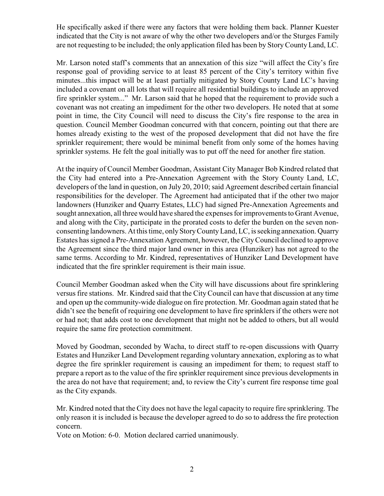He specifically asked if there were any factors that were holding them back. Planner Kuester indicated that the City is not aware of why the other two developers and/or the Sturges Family are not requesting to be included; the only application filed has been by Story County Land, LC.

Mr. Larson noted staff's comments that an annexation of this size "will affect the City's fire response goal of providing service to at least 85 percent of the City's territory within five minutes...this impact will be at least partially mitigated by Story County Land LC's having included a covenant on all lots that will require all residential buildings to include an approved fire sprinkler system..." Mr. Larson said that he hoped that the requirement to provide such a covenant was not creating an impediment for the other two developers. He noted that at some point in time, the City Council will need to discuss the City's fire response to the area in question. Council Member Goodman concurred with that concern, pointing out that there are homes already existing to the west of the proposed development that did not have the fire sprinkler requirement; there would be minimal benefit from only some of the homes having sprinkler systems. He felt the goal initially was to put off the need for another fire station.

At the inquiry of Council Member Goodman, Assistant City Manager Bob Kindred related that the City had entered into a Pre-Annexation Agreement with the Story County Land, LC, developers of the land in question, on July 20, 2010; said Agreement described certain financial responsibilities for the developer. The Agreement had anticipated that if the other two major landowners (Hunziker and Quarry Estates, LLC) had signed Pre-Annexation Agreements and sought annexation, all three would have shared the expenses for improvements to Grant Avenue, and along with the City, participate in the prorated costs to defer the burden on the seven nonconsenting landowners. At this time, only Story CountyLand, LC, is seeking annexation. Quarry Estates has signed a Pre-Annexation Agreement, however, the City Council declined to approve the Agreement since the third major land owner in this area (Hunziker) has not agreed to the same terms. According to Mr. Kindred, representatives of Hunziker Land Development have indicated that the fire sprinkler requirement is their main issue.

Council Member Goodman asked when the City will have discussions about fire sprinklering versus fire stations. Mr. Kindred said that the City Council can have that discussion at any time and open up the community-wide dialogue on fire protection. Mr. Goodman again stated that he didn't see the benefit of requiring one development to have fire sprinklers if the others were not or had not; that adds cost to one development that might not be added to others, but all would require the same fire protection commitment.

Moved by Goodman, seconded by Wacha, to direct staff to re-open discussions with Quarry Estates and Hunziker Land Development regarding voluntary annexation, exploring as to what degree the fire sprinkler requirement is causing an impediment for them; to request staff to prepare a report as to the value of the fire sprinkler requirement since previous developments in the area do not have that requirement; and, to review the City's current fire response time goal as the City expands.

Mr. Kindred noted that the City does not have the legal capacity to require fire sprinklering. The only reason it is included is because the developer agreed to do so to address the fire protection concern.

Vote on Motion: 6-0. Motion declared carried unanimously.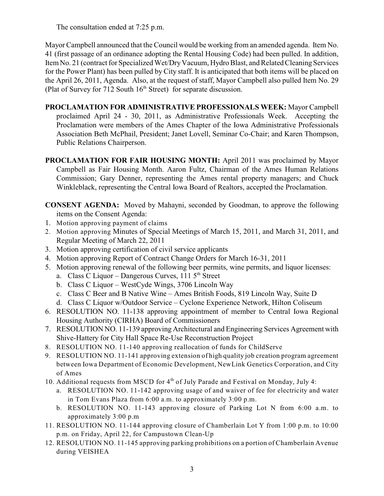The consultation ended at 7:25 p.m.

Mayor Campbell announced that the Council would be working from an amended agenda. Item No. 41 (first passage of an ordinance adopting the Rental Housing Code) had been pulled. In addition, Item No. 21 (contract for Specialized Wet/DryVacuum, Hydro Blast, and Related Cleaning Services for the Power Plant) has been pulled by City staff. It is anticipated that both items will be placed on the April 26, 2011, Agenda. Also, at the request of staff, Mayor Campbell also pulled Item No. 29 (Plat of Survey for 712 South  $16<sup>th</sup>$  Street) for separate discussion.

- **PROCLAMATION FOR ADMINISTRATIVE PROFESSIONALS WEEK:** Mayor Campbell proclaimed April 24 - 30, 2011, as Administrative Professionals Week. Accepting the Proclamation were members of the Ames Chapter of the Iowa Administrative Professionals Association Beth McPhail, President; Janet Lovell, Seminar Co-Chair; and Karen Thompson, Public Relations Chairperson.
- **PROCLAMATION FOR FAIR HOUSING MONTH:** April 2011 was proclaimed by Mayor Campbell as Fair Housing Month. Aaron Fultz, Chairman of the Ames Human Relations Commission; Gary Denner, representing the Ames rental property managers; and Chuck Winkleblack, representing the Central Iowa Board of Realtors, accepted the Proclamation.
- **CONSENT AGENDA:** Moved by Mahayni, seconded by Goodman, to approve the following items on the Consent Agenda:
- 1. Motion approving payment of claims
- 2. Motion approving Minutes of Special Meetings of March 15, 2011, and March 31, 2011, and Regular Meeting of March 22, 2011
- 3. Motion approving certification of civil service applicants
- 4. Motion approving Report of Contract Change Orders for March 16-31, 2011
- 5. Motion approving renewal of the following beer permits, wine permits, and liquor licenses:
	- a. Class C Liquor Dangerous Curves,  $1115^{th}$  Street
	- b. Class C Liquor WestCyde Wings, 3706 Lincoln Way
	- c. Class C Beer and B Native Wine Ames British Foods, 819 Lincoln Way, Suite D
	- d. Class C Liquor w/Outdoor Service Cyclone Experience Network, Hilton Coliseum
- 6. RESOLUTION NO. 11-138 approving appointment of member to Central Iowa Regional Housing Authority (CIRHA) Board of Commissioners
- 7. RESOLUTION NO. 11-139 approving Architectural and Engineering Services Agreement with Shive-Hattery for City Hall Space Re-Use Reconstruction Project
- 8. RESOLUTION NO. 11-140 approving reallocation of funds for ChildServe
- 9. RESOLUTION NO. 11-141 approving extension of high quality job creation program agreement between Iowa Department of Economic Development, NewLink Genetics Corporation, and City of Ames
- 10. Additional requests from MSCD for 4<sup>th</sup> of July Parade and Festival on Monday, July 4:
	- a. RESOLUTION NO. 11-142 approving usage of and waiver of fee for electricity and water in Tom Evans Plaza from 6:00 a.m. to approximately 3:00 p.m.
	- b. RESOLUTION NO. 11-143 approving closure of Parking Lot N from 6:00 a.m. to approximately 3:00 p.m
- 11. RESOLUTION NO. 11-144 approving closure of Chamberlain Lot Y from 1:00 p.m. to 10:00 p.m. on Friday, April 22, for Campustown Clean-Up
- 12. RESOLUTION NO. 11-145 approving parking prohibitions on a portion of Chamberlain Avenue during VEISHEA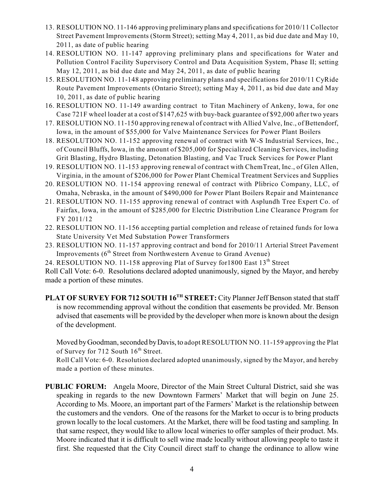- 13. RESOLUTION NO. 11-146 approving preliminary plans and specifications for 2010/11 Collector Street Pavement Improvements (Storm Street); setting May 4, 2011, as bid due date and May 10, 2011, as date of public hearing
- 14. RESOLUTION NO. 11-147 approving preliminary plans and specifications for Water and Pollution Control Facility Supervisory Control and Data Acquisition System, Phase II; setting May 12, 2011, as bid due date and May 24, 2011, as date of public hearing
- 15. RESOLUTION NO. 11-148 approving preliminary plans and specifications for 2010/11 CyRide Route Pavement Improvements (Ontario Street); setting May 4, 2011, as bid due date and May 10, 2011, as date of public hearing
- 16. RESOLUTION NO. 11-149 awarding contract to Titan Machinery of Ankeny, Iowa, for one Case 721F wheel loader at a cost of \$147,625 with buy-back guarantee of \$92,000 after two years
- 17. RESOLUTION NO. 11-150 approving renewal of contract with Allied Valve, Inc., of Bettendorf, Iowa, in the amount of \$55,000 for Valve Maintenance Services for Power Plant Boilers
- 18. RESOLUTION NO. 11-152 approving renewal of contract with W-S Industrial Services, Inc., of Council Bluffs, Iowa, in the amount of \$205,000 for Specialized Cleaning Services, including Grit Blasting, Hydro Blasting, Detonation Blasting, and Vac Truck Services for Power Plant
- 19. RESOLUTION NO. 11-153 approving renewal of contract with ChemTreat, Inc., of Glen Allen, Virginia, in the amount of \$206,000 for Power Plant Chemical Treatment Services and Supplies
- 20. RESOLUTION NO. 11-154 approving renewal of contract with Plibrico Company, LLC, of Omaha, Nebraska, in the amount of \$490,000 for Power Plant Boilers Repair and Maintenance
- 21. RESOLUTION NO. 11-155 approving renewal of contract with Asplundh Tree Expert Co. of Fairfax, Iowa, in the amount of \$285,000 for Electric Distribution Line Clearance Program for FY 2011/12
- 22. RESOLUTION NO. 11-156 accepting partial completion and release of retained funds for Iowa State University Vet Med Substation Power Transformers
- 23. RESOLUTION NO. 11-157 approving contract and bond for 2010/11 Arterial Street Pavement Improvements  $(6<sup>th</sup> Street from Northwestern Avenue to Grand Avenue)$
- 24. RESOLUTION NO. 11-158 approving Plat of Survey for 1800 East  $13<sup>th</sup>$  Street

Roll Call Vote: 6-0. Resolutions declared adopted unanimously, signed by the Mayor, and hereby made a portion of these minutes.

**PLAT OF SURVEY FOR 712 SOUTH 16<sup>TH</sup> STREET:** City Planner Jeff Benson stated that staff is now recommending approval without the condition that easements be provided. Mr. Benson advised that easements will be provided by the developer when more is known about the design of the development.

Moved by Goodman, seconded by Davis, to adopt RESOLUTION NO. 11-159 approving the Plat of Survey for 712 South  $16<sup>th</sup>$  Street.

Roll Call Vote: 6-0. Resolution declared adopted unanimously, signed by the Mayor, and hereby made a portion of these minutes.

**PUBLIC FORUM:** Angela Moore, Director of the Main Street Cultural District, said she was speaking in regards to the new Downtown Farmers' Market that will begin on June 25. According to Ms. Moore, an important part of the Farmers' Market is the relationship between the customers and the vendors. One of the reasons for the Market to occur is to bring products grown locally to the local customers. At the Market, there will be food tasting and sampling. In that same respect, they would like to allow local wineries to offer samples of their product. Ms. Moore indicated that it is difficult to sell wine made locally without allowing people to taste it first. She requested that the City Council direct staff to change the ordinance to allow wine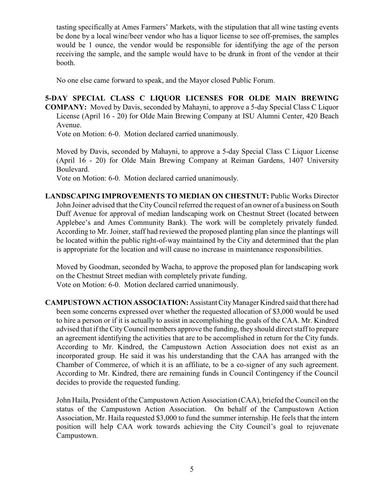tasting specifically at Ames Farmers' Markets, with the stipulation that all wine tasting events be done by a local wine/beer vendor who has a liquor license to see off-premises, the samples would be 1 ounce, the vendor would be responsible for identifying the age of the person receiving the sample, and the sample would have to be drunk in front of the vendor at their booth.

No one else came forward to speak, and the Mayor closed Public Forum.

**5-DAY SPECIAL CLASS C LIQUOR LICENSES FOR OLDE MAIN BREWING COMPANY:** Moved by Davis, seconded by Mahayni, to approve a 5-day Special Class C Liquor License (April 16 - 20) for Olde Main Brewing Company at ISU Alumni Center, 420 Beach Avenue.

Vote on Motion: 6-0. Motion declared carried unanimously.

Moved by Davis, seconded by Mahayni, to approve a 5-day Special Class C Liquor License (April 16 - 20) for Olde Main Brewing Company at Reiman Gardens, 1407 University Boulevard.

Vote on Motion: 6-0. Motion declared carried unanimously.

**LANDSCAPING IMPROVEMENTS TO MEDIAN ON CHESTNUT:** Public Works Director John Joiner advised that the City Council referred the request of an owner of a business on South Duff Avenue for approval of median landscaping work on Chestnut Street (located between Applebee's and Ames Community Bank). The work will be completely privately funded. According to Mr. Joiner, staff had reviewed the proposed planting plan since the plantings will be located within the public right-of-way maintained by the City and determined that the plan is appropriate for the location and will cause no increase in maintenance responsibilities.

Moved by Goodman, seconded by Wacha, to approve the proposed plan for landscaping work on the Chestnut Street median with completely private funding. Vote on Motion: 6-0. Motion declared carried unanimously.

**CAMPUSTOWN ACTION ASSOCIATION:** Assistant City Manager Kindred said that there had been some concerns expressed over whether the requested allocation of \$3,000 would be used to hire a person or if it is actually to assist in accomplishing the goals of the CAA. Mr. Kindred advised that if the CityCouncil members approve the funding, they should direct staff to prepare an agreement identifying the activities that are to be accomplished in return for the City funds. According to Mr. Kindred, the Campustown Action Association does not exist as an incorporated group. He said it was his understanding that the CAA has arranged with the Chamber of Commerce, of which it is an affiliate, to be a co-signer of any such agreement. According to Mr. Kindred, there are remaining funds in Council Contingency if the Council decides to provide the requested funding.

John Haila, President of the Campustown Action Association (CAA), briefed the Council on the status of the Campustown Action Association. On behalf of the Campustown Action Association, Mr. Haila requested \$3,000 to fund the summer internship. He feels that the intern position will help CAA work towards achieving the City Council's goal to rejuvenate Campustown.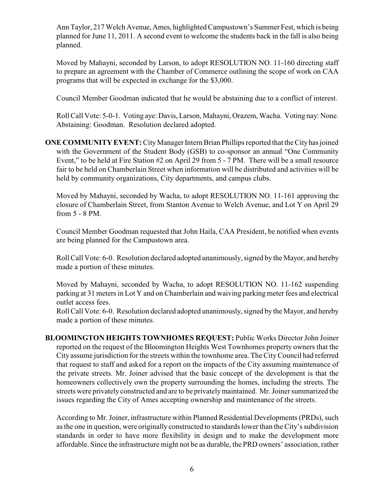Ann Taylor, 217 Welch Avenue, Ames, highlighted Campustown's Summer Fest, which is being planned for June 11, 2011. A second event to welcome the students back in the fall is also being planned.

Moved by Mahayni, seconded by Larson, to adopt RESOLUTION NO. 11-160 directing staff to prepare an agreement with the Chamber of Commerce outlining the scope of work on CAA programs that will be expected in exchange for the \$3,000.

Council Member Goodman indicated that he would be abstaining due to a conflict of interest.

Roll Call Vote: 5-0-1. Voting aye: Davis, Larson, Mahayni, Orazem, Wacha. Voting nay: None. Abstaining: Goodman. Resolution declared adopted.

**ONE COMMUNITY EVENT:** City Manager Intern Brian Phillips reported that the City has joined with the Government of the Student Body (GSB) to co-sponsor an annual "One Community Event," to be held at Fire Station #2 on April 29 from 5 - 7 PM. There will be a small resource fair to be held on Chamberlain Street when information will be distributed and activities will be held by community organizations, City departments, and campus clubs.

Moved by Mahayni, seconded by Wacha, to adopt RESOLUTION NO. 11-161 approving the closure of Chamberlain Street, from Stanton Avenue to Welch Avenue, and Lot Y on April 29 from 5 - 8 PM.

Council Member Goodman requested that John Haila, CAA President, be notified when events are being planned for the Campustown area.

Roll Call Vote: 6-0. Resolution declared adopted unanimously, signed by the Mayor, and hereby made a portion of these minutes.

Moved by Mahayni, seconded by Wacha, to adopt RESOLUTION NO. 11-162 suspending parking at 31 meters in Lot Y and on Chamberlain and waiving parking meter fees and electrical outlet access fees.

Roll Call Vote: 6-0. Resolution declared adopted unanimously, signed by the Mayor, and hereby made a portion of these minutes.

**BLOOMINGTON HEIGHTS TOWNHOMES REQUEST:** Public Works Director John Joiner reported on the request of the Bloomington Heights West Townhomes property owners that the City assume jurisdiction for the streets within the townhome area. The CityCouncil had referred that request to staff and asked for a report on the impacts of the City assuming maintenance of the private streets. Mr. Joiner advised that the basic concept of the development is that the homeowners collectively own the property surrounding the homes, including the streets. The streets were privately constructed and are to be privately maintained. Mr. Joiner summarized the issues regarding the City of Ames accepting ownership and maintenance of the streets.

According to Mr. Joiner, infrastructure within Planned Residential Developments (PRDs), such as the one in question, were originally constructed to standards lower than the City's subdivision standards in order to have more flexibility in design and to make the development more affordable. Since the infrastructure might not be as durable, the PRD owners' association, rather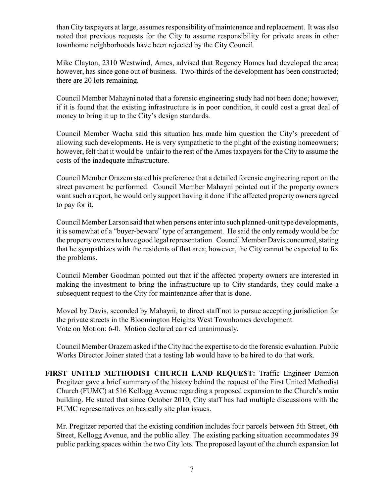than City taxpayers at large, assumes responsibility of maintenance and replacement. It was also noted that previous requests for the City to assume responsibility for private areas in other townhome neighborhoods have been rejected by the City Council.

Mike Clayton, 2310 Westwind, Ames, advised that Regency Homes had developed the area; however, has since gone out of business. Two-thirds of the development has been constructed; there are 20 lots remaining.

Council Member Mahayni noted that a forensic engineering study had not been done; however, if it is found that the existing infrastructure is in poor condition, it could cost a great deal of money to bring it up to the City's design standards.

Council Member Wacha said this situation has made him question the City's precedent of allowing such developments. He is very sympathetic to the plight of the existing homeowners; however, felt that it would be unfair to the rest of the Ames taxpayers for the City to assume the costs of the inadequate infrastructure.

Council Member Orazem stated his preference that a detailed forensic engineering report on the street pavement be performed. Council Member Mahayni pointed out if the property owners want such a report, he would only support having it done if the affected property owners agreed to pay for it.

Council Member Larson said that when persons enter into such planned-unit type developments, it is somewhat of a "buyer-beware" type of arrangement. He said the only remedy would be for the property owners to have good legal representation. Council Member Davis concurred, stating that he sympathizes with the residents of that area; however, the City cannot be expected to fix the problems.

Council Member Goodman pointed out that if the affected property owners are interested in making the investment to bring the infrastructure up to City standards, they could make a subsequent request to the City for maintenance after that is done.

Moved by Davis, seconded by Mahayni, to direct staff not to pursue accepting jurisdiction for the private streets in the Bloomington Heights West Townhomes development. Vote on Motion: 6-0. Motion declared carried unanimously.

Council Member Orazem asked if the City had the expertise to do the forensic evaluation. Public Works Director Joiner stated that a testing lab would have to be hired to do that work.

**FIRST UNITED METHODIST CHURCH LAND REQUEST:** Traffic Engineer Damion Pregitzer gave a brief summary of the history behind the request of the First United Methodist Church (FUMC) at 516 Kellogg Avenue regarding a proposed expansion to the Church's main building. He stated that since October 2010, City staff has had multiple discussions with the FUMC representatives on basically site plan issues.

Mr. Pregitzer reported that the existing condition includes four parcels between 5th Street, 6th Street, Kellogg Avenue, and the public alley. The existing parking situation accommodates 39 public parking spaces within the two City lots. The proposed layout of the church expansion lot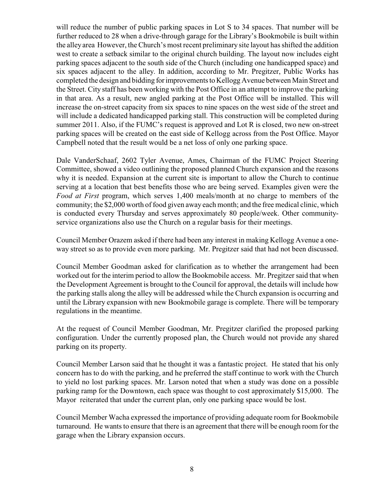will reduce the number of public parking spaces in Lot S to 34 spaces. That number will be further reduced to 28 when a drive-through garage for the Library's Bookmobile is built within the alley area However, the Church's most recent preliminary site layout has shifted the addition west to create a setback similar to the original church building. The layout now includes eight parking spaces adjacent to the south side of the Church (including one handicapped space) and six spaces adjacent to the alley. In addition, according to Mr. Pregitzer, Public Works has completed the design and bidding for improvements to Kellogg Avenue between Main Street and the Street. City staff has been working with the Post Office in an attempt to improve the parking in that area. As a result, new angled parking at the Post Office will be installed. This will increase the on-street capacity from six spaces to nine spaces on the west side of the street and will include a dedicated handicapped parking stall. This construction will be completed during summer 2011. Also, if the FUMC's request is approved and Lot R is closed, two new on-street parking spaces will be created on the east side of Kellogg across from the Post Office. Mayor Campbell noted that the result would be a net loss of only one parking space.

Dale VanderSchaaf, 2602 Tyler Avenue, Ames, Chairman of the FUMC Project Steering Committee, showed a video outlining the proposed planned Church expansion and the reasons why it is needed. Expansion at the current site is important to allow the Church to continue serving at a location that best benefits those who are being served. Examples given were the *Food at First* program, which serves 1,400 meals/month at no charge to members of the community; the \$2,000 worth of food given away each month; and the free medical clinic, which is conducted every Thursday and serves approximately 80 people/week. Other communityservice organizations also use the Church on a regular basis for their meetings.

Council Member Orazem asked if there had been any interest in making Kellogg Avenue a oneway street so as to provide even more parking. Mr. Pregitzer said that had not been discussed.

Council Member Goodman asked for clarification as to whether the arrangement had been worked out for the interim period to allow the Bookmobile access. Mr. Pregitzer said that when the Development Agreement is brought to the Council for approval, the details will include how the parking stalls along the alley will be addressed while the Church expansion is occurring and until the Library expansion with new Bookmobile garage is complete. There will be temporary regulations in the meantime.

At the request of Council Member Goodman, Mr. Pregitzer clarified the proposed parking configuration. Under the currently proposed plan, the Church would not provide any shared parking on its property.

Council Member Larson said that he thought it was a fantastic project. He stated that his only concern has to do with the parking, and he preferred the staff continue to work with the Church to yield no lost parking spaces. Mr. Larson noted that when a study was done on a possible parking ramp for the Downtown, each space was thought to cost approximately \$15,000. The Mayor reiterated that under the current plan, only one parking space would be lost.

Council Member Wacha expressed the importance of providing adequate room for Bookmobile turnaround. He wants to ensure that there is an agreement that there will be enough room for the garage when the Library expansion occurs.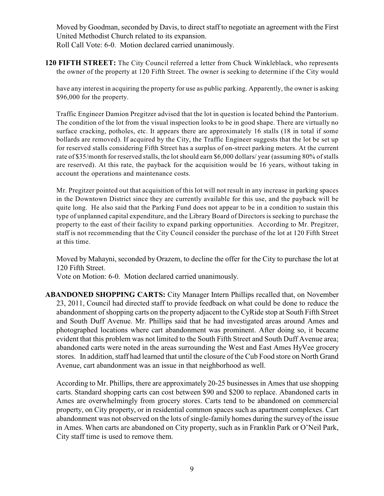Moved by Goodman, seconded by Davis, to direct staff to negotiate an agreement with the First United Methodist Church related to its expansion.

Roll Call Vote: 6-0. Motion declared carried unanimously.

**120 FIFTH STREET:** The City Council referred a letter from Chuck Winkleblack, who represents the owner of the property at 120 Fifth Street. The owner is seeking to determine if the City would

have any interest in acquiring the property for use as public parking. Apparently, the owner is asking \$96,000 for the property.

Traffic Engineer Damion Pregitzer advised that the lot in question is located behind the Pantorium. The condition of the lot from the visual inspection looks to be in good shape. There are virtually no surface cracking, potholes, etc. It appears there are approximately 16 stalls (18 in total if some bollards are removed). If acquired by the City, the Traffic Engineer suggests that the lot be set up for reserved stalls considering Fifth Street has a surplus of on-street parking meters. At the current rate of \$35/month for reserved stalls, the lot should earn \$6,000 dollars/ year (assuming 80% of stalls are reserved). At this rate, the payback for the acquisition would be 16 years, without taking in account the operations and maintenance costs.

Mr. Pregitzer pointed out that acquisition of this lot will not result in any increase in parking spaces in the Downtown District since they are currently available for this use, and the payback will be quite long. He also said that the Parking Fund does not appear to be in a condition to sustain this type of unplanned capital expenditure, and the Library Board of Directors is seeking to purchase the property to the east of their facility to expand parking opportunities. According to Mr. Pregitzer, staff is not recommending that the City Council consider the purchase of the lot at 120 Fifth Street at this time.

Moved by Mahayni, seconded by Orazem, to decline the offer for the City to purchase the lot at 120 Fifth Street.

Vote on Motion: 6-0. Motion declared carried unanimously.

**ABANDONED SHOPPING CARTS:** City Manager Intern Phillips recalled that, on November 23, 2011, Council had directed staff to provide feedback on what could be done to reduce the abandonment of shopping carts on the property adjacent to the CyRide stop at South Fifth Street and South Duff Avenue. Mr. Phillips said that he had investigated areas around Ames and photographed locations where cart abandonment was prominent. After doing so, it became evident that this problem was not limited to the South Fifth Street and South Duff Avenue area; abandoned carts were noted in the areas surrounding the West and East Ames HyVee grocery stores. In addition, staff had learned that until the closure of the Cub Food store on North Grand Avenue, cart abandonment was an issue in that neighborhood as well.

According to Mr. Phillips, there are approximately 20-25 businesses in Ames that use shopping carts. Standard shopping carts can cost between \$90 and \$200 to replace. Abandoned carts in Ames are overwhelmingly from grocery stores. Carts tend to be abandoned on commercial property, on City property, or in residential common spaces such as apartment complexes. Cart abandonment was not observed on the lots of single-family homes during the survey of the issue in Ames. When carts are abandoned on City property, such as in Franklin Park or O'Neil Park, City staff time is used to remove them.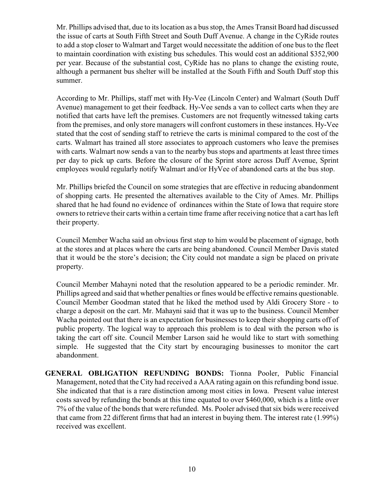Mr. Phillips advised that, due to its location as a bus stop, the Ames Transit Board had discussed the issue of carts at South Fifth Street and South Duff Avenue. A change in the CyRide routes to add a stop closer to Walmart and Target would necessitate the addition of one bus to the fleet to maintain coordination with existing bus schedules. This would cost an additional \$352,900 per year. Because of the substantial cost, CyRide has no plans to change the existing route, although a permanent bus shelter will be installed at the South Fifth and South Duff stop this summer.

According to Mr. Phillips, staff met with Hy-Vee (Lincoln Center) and Walmart (South Duff Avenue) management to get their feedback. Hy-Vee sends a van to collect carts when they are notified that carts have left the premises. Customers are not frequently witnessed taking carts from the premises, and only store managers will confront customers in these instances. Hy-Vee stated that the cost of sending staff to retrieve the carts is minimal compared to the cost of the carts. Walmart has trained all store associates to approach customers who leave the premises with carts. Walmart now sends a van to the nearby bus stops and apartments at least three times per day to pick up carts. Before the closure of the Sprint store across Duff Avenue, Sprint employees would regularly notify Walmart and/or HyVee of abandoned carts at the bus stop.

Mr. Phillips briefed the Council on some strategies that are effective in reducing abandonment of shopping carts. He presented the alternatives available to the City of Ames. Mr. Phillips shared that he had found no evidence of ordinances within the State of Iowa that require store owners to retrieve their carts within a certain time frame after receiving notice that a cart has left their property.

Council Member Wacha said an obvious first step to him would be placement of signage, both at the stores and at places where the carts are being abandoned. Council Member Davis stated that it would be the store's decision; the City could not mandate a sign be placed on private property.

Council Member Mahayni noted that the resolution appeared to be a periodic reminder. Mr. Phillips agreed and said that whether penalties or fines would be effective remains questionable. Council Member Goodman stated that he liked the method used by Aldi Grocery Store - to charge a deposit on the cart. Mr. Mahayni said that it was up to the business. Council Member Wacha pointed out that there is an expectation for businesses to keep their shopping carts off of public property. The logical way to approach this problem is to deal with the person who is taking the cart off site. Council Member Larson said he would like to start with something simple. He suggested that the City start by encouraging businesses to monitor the cart abandonment.

**GENERAL OBLIGATION REFUNDING BONDS:** Tionna Pooler, Public Financial Management, noted that the City had received a AAA rating again on this refunding bond issue. She indicated that that is a rare distinction among most cities in Iowa. Present value interest costs saved by refunding the bonds at this time equated to over \$460,000, which is a little over 7% of the value of the bonds that were refunded. Ms. Pooler advised that six bids were received that came from 22 different firms that had an interest in buying them. The interest rate (1.99%) received was excellent.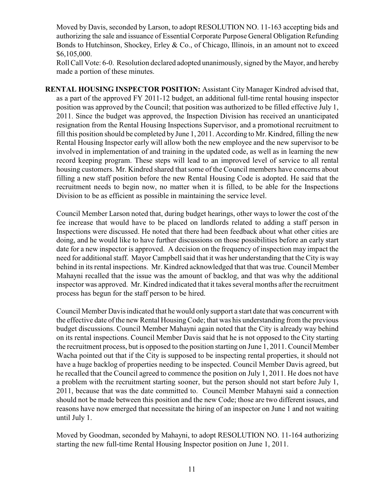Moved by Davis, seconded by Larson, to adopt RESOLUTION NO. 11-163 accepting bids and authorizing the sale and issuance of Essential Corporate Purpose General Obligation Refunding Bonds to Hutchinson, Shockey, Erley & Co., of Chicago, Illinois, in an amount not to exceed \$6,105,000.

Roll Call Vote: 6-0. Resolution declared adopted unanimously, signed by the Mayor, and hereby made a portion of these minutes.

**RENTAL HOUSING INSPECTOR POSITION:** Assistant City Manager Kindred advised that, as a part of the approved FY 2011-12 budget, an additional full-time rental housing inspector position was approved by the Council; that position was authorized to be filled effective July 1, 2011. Since the budget was approved, the Inspection Division has received an unanticipated resignation from the Rental Housing Inspections Supervisor, and a promotional recruitment to fill this position should be completed by June 1, 2011. According to Mr. Kindred, filling the new Rental Housing Inspector early will allow both the new employee and the new supervisor to be involved in implementation of and training in the updated code, as well as in learning the new record keeping program. These steps will lead to an improved level of service to all rental housing customers. Mr. Kindred shared that some of the Council members have concerns about filling a new staff position before the new Rental Housing Code is adopted. He said that the recruitment needs to begin now, no matter when it is filled, to be able for the Inspections Division to be as efficient as possible in maintaining the service level.

Council Member Larson noted that, during budget hearings, other ways to lower the cost of the fee increase that would have to be placed on landlords related to adding a staff person in Inspections were discussed. He noted that there had been feedback about what other cities are doing, and he would like to have further discussions on those possibilities before an early start date for a new inspector is approved. A decision on the frequency of inspection may impact the need for additional staff. Mayor Campbell said that it was her understanding that the City is way behind in its rental inspections. Mr. Kindred acknowledged that that was true. Council Member Mahayni recalled that the issue was the amount of backlog, and that was why the additional inspector was approved. Mr. Kindred indicated that it takes several months after the recruitment process has begun for the staff person to be hired.

Council Member Davisindicated that hewould only support a start date that was concurrent with the effective date of the new Rental Housing Code; that was his understanding from the previous budget discussions. Council Member Mahayni again noted that the City is already way behind on its rental inspections. Council Member Davis said that he is not opposed to the City starting the recruitment process, but is opposed to the position starting on June 1, 2011. Council Member Wacha pointed out that if the City is supposed to be inspecting rental properties, it should not have a huge backlog of properties needing to be inspected. Council Member Davis agreed, but he recalled that the Council agreed to commence the position on July 1, 2011. He does not have a problem with the recruitment starting sooner, but the person should not start before July 1, 2011, because that was the date committed to. Council Member Mahayni said a connection should not be made between this position and the new Code; those are two different issues, and reasons have now emerged that necessitate the hiring of an inspector on June 1 and not waiting until July 1.

Moved by Goodman, seconded by Mahayni, to adopt RESOLUTION NO. 11-164 authorizing starting the new full-time Rental Housing Inspector position on June 1, 2011.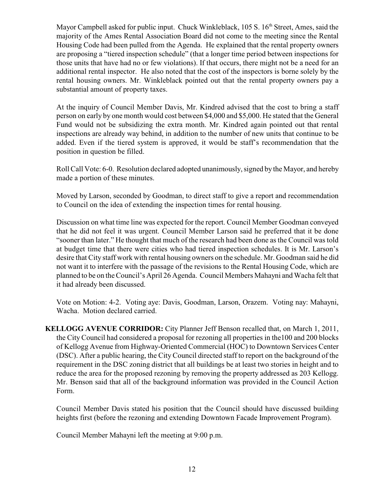Mayor Campbell asked for public input. Chuck Winkleblack, 105 S. 16<sup>th</sup> Street, Ames, said the majority of the Ames Rental Association Board did not come to the meeting since the Rental Housing Code had been pulled from the Agenda. He explained that the rental property owners are proposing a "tiered inspection schedule" (that a longer time period between inspections for those units that have had no or few violations). If that occurs, there might not be a need for an additional rental inspector. He also noted that the cost of the inspectors is borne solely by the rental housing owners. Mr. Winkleblack pointed out that the rental property owners pay a substantial amount of property taxes.

At the inquiry of Council Member Davis, Mr. Kindred advised that the cost to bring a staff person on early by one month would cost between \$4,000 and \$5,000. He stated that the General Fund would not be subsidizing the extra month. Mr. Kindred again pointed out that rental inspections are already way behind, in addition to the number of new units that continue to be added. Even if the tiered system is approved, it would be staff's recommendation that the position in question be filled.

Roll Call Vote: 6-0. Resolution declared adopted unanimously, signed by the Mayor, and hereby made a portion of these minutes.

Moved by Larson, seconded by Goodman, to direct staff to give a report and recommendation to Council on the idea of extending the inspection times for rental housing.

Discussion on what time line was expected for the report. Council Member Goodman conveyed that he did not feel it was urgent. Council Member Larson said he preferred that it be done "sooner than later." He thought that much of the research had been done as the Council was told at budget time that there were cities who had tiered inspection schedules. It is Mr. Larson's desire that City staff work with rental housing owners on the schedule. Mr. Goodman said he did not want it to interfere with the passage of the revisions to the Rental Housing Code, which are planned to be on the Council's April 26 Agenda. Council Members Mahayni and Wacha felt that it had already been discussed.

Vote on Motion: 4-2. Voting aye: Davis, Goodman, Larson, Orazem. Voting nay: Mahayni, Wacha. Motion declared carried.

**KELLOGG AVENUE CORRIDOR:** City Planner Jeff Benson recalled that, on March 1, 2011, the City Council had considered a proposal for rezoning all properties in the100 and 200 blocks of Kellogg Avenue from Highway-Oriented Commercial (HOC) to Downtown Services Center (DSC). After a public hearing, the City Council directed staff to report on the background of the requirement in the DSC zoning district that all buildings be at least two stories in height and to reduce the area for the proposed rezoning by removing the property addressed as 203 Kellogg. Mr. Benson said that all of the background information was provided in the Council Action Form.

Council Member Davis stated his position that the Council should have discussed building heights first (before the rezoning and extending Downtown Facade Improvement Program).

Council Member Mahayni left the meeting at 9:00 p.m.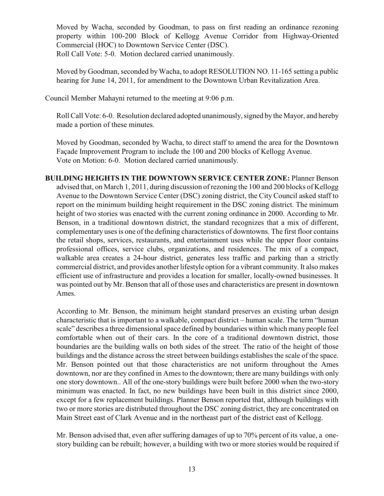Moved by Wacha, seconded by Goodman, to pass on first reading an ordinance rezoning property within 100-200 Block of Kellogg Avenue Corridor from Highway-Oriented Commercial (HOC) to Downtown Service Center (DSC). Roll Call Vote: 5-0. Motion declared carried unanimously.

Moved by Goodman, seconded by Wacha, to adopt RESOLUTION NO. 11-165 setting a public hearing for June 14, 2011, for amendment to the Downtown Urban Revitalization Area.

Council Member Mahayni returned to the meeting at 9:06 p.m.

Roll Call Vote: 6-0. Resolution declared adopted unanimously, signed by the Mayor, and hereby made a portion of these minutes.

Moved by Goodman, seconded by Wacha, to direct staff to amend the area for the Downtown Façade Improvement Program to include the 100 and 200 blocks of Kellogg Avenue. Vote on Motion: 6-0. Motion declared carried unanimously.

**BUILDING HEIGHTS IN THE DOWNTOWN SERVICE CENTER ZONE:** Planner Benson advised that, on March 1, 2011, during discussion of rezoning the 100 and 200 blocks of Kellogg Avenue to the Downtown Service Center (DSC) zoning district, the City Council asked staff to report on the minimum building height requirement in the DSC zoning district. The minimum height of two stories was enacted with the current zoning ordinance in 2000. According to Mr. Benson, in a traditional downtown district, the standard recognizes that a mix of different, complementary uses is one of the defining characteristics of downtowns. The first floor contains the retail shops, services, restaurants, and entertainment uses while the upper floor contains professional offices, service clubs, organizations, and residences. The mix of a compact, walkable area creates a 24-hour district, generates less traffic and parking than a strictly commercial district, and provides another lifestyle option for a vibrant community. It also makes efficient use of infrastructure and provides a location for smaller, locally-owned businesses. It was pointed out by Mr. Benson that all of those uses and characteristics are present in downtown Ames.

According to Mr. Benson, the minimum height standard preserves an existing urban design characteristic that is important to a walkable, compact district – human scale. The term "human scale" describes a three dimensional space defined by boundaries within which many people feel comfortable when out of their cars. In the core of a traditional downtown district, those boundaries are the building walls on both sides of the street. The ratio of the height of those buildings and the distance across the street between buildings establishes the scale of the space. Mr. Benson pointed out that those characteristics are not uniform throughout the Ames downtown, nor are they confined in Ames to the downtown; there are many buildings with only one story downtown.. All of the one-story buildings were built before 2000 when the two-story minimum was enacted. In fact, no new buildings have been built in this district since 2000, except for a few replacement buildings. Planner Benson reported that, although buildings with two or more stories are distributed throughout the DSC zoning district, they are concentrated on Main Street east of Clark Avenue and in the northeast part of the district east of Kellogg.

Mr. Benson advised that, even after suffering damages of up to 70% percent of its value, a onestory building can be rebuilt; however, a building with two or more stories would be required if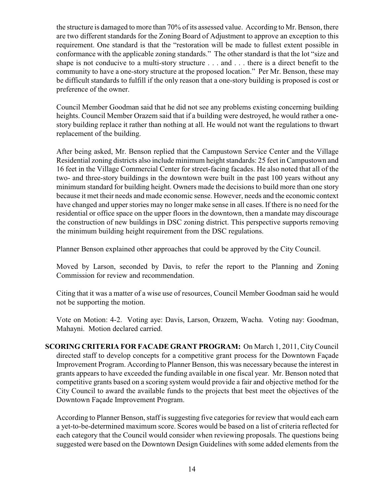the structure is damaged to more than 70% of its assessed value. According to Mr. Benson, there are two different standards for the Zoning Board of Adjustment to approve an exception to this requirement. One standard is that the "restoration will be made to fullest extent possible in conformance with the applicable zoning standards." The other standard is that the lot "size and shape is not conducive to a multi-story structure . . . and . . . there is a direct benefit to the community to have a one-story structure at the proposed location." Per Mr. Benson, these may be difficult standards to fulfill if the only reason that a one-story building is proposed is cost or preference of the owner.

Council Member Goodman said that he did not see any problems existing concerning building heights. Council Member Orazem said that if a building were destroyed, he would rather a onestory building replace it rather than nothing at all. He would not want the regulations to thwart replacement of the building.

After being asked, Mr. Benson replied that the Campustown Service Center and the Village Residential zoning districts also include minimum height standards: 25 feet in Campustown and 16 feet in the Village Commercial Center for street-facing facades. He also noted that all of the two- and three-story buildings in the downtown were built in the past 100 years without any minimum standard for building height. Owners made the decisions to build more than one story because it met their needs and made economic sense. However, needs and the economic context have changed and upper stories may no longer make sense in all cases. If there is no need for the residential or office space on the upper floors in the downtown, then a mandate may discourage the construction of new buildings in DSC zoning district. This perspective supports removing the minimum building height requirement from the DSC regulations.

Planner Benson explained other approaches that could be approved by the City Council.

Moved by Larson, seconded by Davis, to refer the report to the Planning and Zoning Commission for review and recommendation.

Citing that it was a matter of a wise use of resources, Council Member Goodman said he would not be supporting the motion.

Vote on Motion: 4-2. Voting aye: Davis, Larson, Orazem, Wacha. Voting nay: Goodman, Mahayni. Motion declared carried.

**SCORING CRITERIA FOR FACADE GRANT PROGRAM:** On March 1, 2011, City Council directed staff to develop concepts for a competitive grant process for the Downtown Façade Improvement Program. According to Planner Benson, this was necessary because the interest in grants appears to have exceeded the funding available in one fiscal year. Mr. Benson noted that competitive grants based on a scoring system would provide a fair and objective method for the City Council to award the available funds to the projects that best meet the objectives of the Downtown Façade Improvement Program.

According to Planner Benson, staff is suggesting five categories for review that would each earn a yet-to-be-determined maximum score. Scores would be based on a list of criteria reflected for each category that the Council would consider when reviewing proposals. The questions being suggested were based on the Downtown Design Guidelines with some added elements from the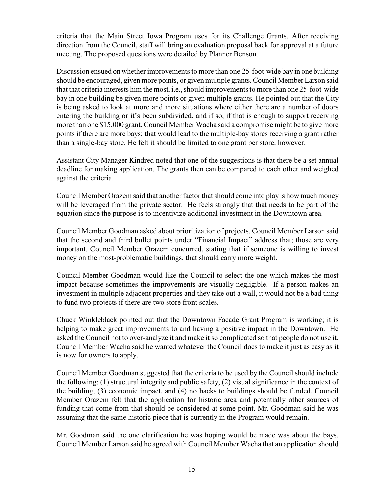criteria that the Main Street Iowa Program uses for its Challenge Grants. After receiving direction from the Council, staff will bring an evaluation proposal back for approval at a future meeting. The proposed questions were detailed by Planner Benson.

Discussion ensued on whether improvements to more than one 25-foot-wide bay in one building should be encouraged, given more points, or given multiple grants. Council Member Larson said that that criteria interests him the most, i.e., should improvements to more than one 25-foot-wide bay in one building be given more points or given multiple grants. He pointed out that the City is being asked to look at more and more situations where either there are a number of doors entering the building or it's been subdivided, and if so, if that is enough to support receiving more than one \$15,000 grant. Council Member Wacha said a compromise might be to give more points if there are more bays; that would lead to the multiple-bay stores receiving a grant rather than a single-bay store. He felt it should be limited to one grant per store, however.

Assistant City Manager Kindred noted that one of the suggestions is that there be a set annual deadline for making application. The grants then can be compared to each other and weighed against the criteria.

Council Member Orazem said that another factor that should come into play is how much money will be leveraged from the private sector. He feels strongly that that needs to be part of the equation since the purpose is to incentivize additional investment in the Downtown area.

Council Member Goodman asked about prioritization of projects. Council Member Larson said that the second and third bullet points under "Financial Impact" address that; those are very important. Council Member Orazem concurred, stating that if someone is willing to invest money on the most-problematic buildings, that should carry more weight.

Council Member Goodman would like the Council to select the one which makes the most impact because sometimes the improvements are visually negligible. If a person makes an investment in multiple adjacent properties and they take out a wall, it would not be a bad thing to fund two projects if there are two store front scales.

Chuck Winkleblack pointed out that the Downtown Facade Grant Program is working; it is helping to make great improvements to and having a positive impact in the Downtown. He asked the Council not to over-analyze it and make it so complicated so that people do not use it. Council Member Wacha said he wanted whatever the Council does to make it just as easy as it is now for owners to apply.

Council Member Goodman suggested that the criteria to be used by the Council should include the following: (1) structural integrity and public safety, (2) visual significance in the context of the building, (3) economic impact, and (4) no backs to buildings should be funded. Council Member Orazem felt that the application for historic area and potentially other sources of funding that come from that should be considered at some point. Mr. Goodman said he was assuming that the same historic piece that is currently in the Program would remain.

Mr. Goodman said the one clarification he was hoping would be made was about the bays. Council Member Larson said he agreed with Council Member Wacha that an application should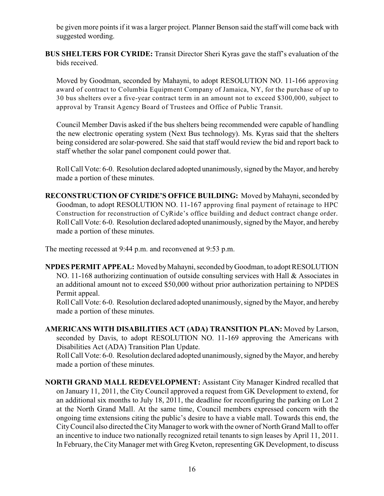be given more points if it was a larger project. Planner Benson said the staff will come back with suggested wording.

**BUS SHELTERS FOR CYRIDE:** Transit Director Sheri Kyras gave the staff's evaluation of the bids received.

Moved by Goodman, seconded by Mahayni, to adopt RESOLUTION NO. 11-166 approving award of contract to Columbia Equipment Company of Jamaica, NY, for the purchase of up to 30 bus shelters over a five-year contract term in an amount not to exceed \$300,000, subject to approval by Transit Agency Board of Trustees and Office of Public Transit.

Council Member Davis asked if the bus shelters being recommended were capable of handling the new electronic operating system (Next Bus technology). Ms. Kyras said that the shelters being considered are solar-powered. She said that staff would review the bid and report back to staff whether the solar panel component could power that.

Roll Call Vote: 6-0. Resolution declared adopted unanimously, signed by the Mayor, and hereby made a portion of these minutes.

**RECONSTRUCTION OF CYRIDE'S OFFICE BUILDING:** Moved by Mahayni, seconded by Goodman, to adopt RESOLUTION NO. 11-167 approving final payment of retainage to HPC Construction for reconstruction of CyRide's office building and deduct contract change order. Roll Call Vote: 6-0. Resolution declared adopted unanimously, signed by the Mayor, and hereby made a portion of these minutes.

The meeting recessed at 9:44 p.m. and reconvened at 9:53 p.m.

**NPDES PERMIT APPEAL:** Moved by Mahayni, seconded by Goodman, to adopt RESOLUTION NO. 11-168 authorizing continuation of outside consulting services with Hall & Associates in an additional amount not to exceed \$50,000 without prior authorization pertaining to NPDES Permit appeal.

Roll Call Vote: 6-0. Resolution declared adopted unanimously, signed by the Mayor, and hereby made a portion of these minutes.

**AMERICANS WITH DISABILITIES ACT (ADA) TRANSITION PLAN:** Moved by Larson, seconded by Davis, to adopt RESOLUTION NO. 11-169 approving the Americans with Disabilities Act (ADA) Transition Plan Update.

Roll Call Vote: 6-0. Resolution declared adopted unanimously, signed by the Mayor, and hereby made a portion of these minutes.

**NORTH GRAND MALL REDEVELOPMENT:** Assistant City Manager Kindred recalled that on January 11, 2011, the City Council approved a request from GK Development to extend, for an additional six months to July 18, 2011, the deadline for reconfiguring the parking on Lot 2 at the North Grand Mall. At the same time, Council members expressed concern with the ongoing time extensions citing the public's desire to have a viable mall. Towards this end, the CityCouncil also directed the CityManager to work with the owner of North Grand Mall to offer an incentive to induce two nationally recognized retail tenants to sign leases by April 11, 2011. In February, theCity Manager met with Greg Kveton, representing GK Development, to discuss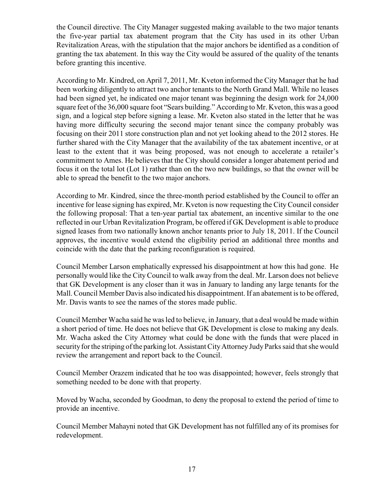the Council directive. The City Manager suggested making available to the two major tenants the five-year partial tax abatement program that the City has used in its other Urban Revitalization Areas, with the stipulation that the major anchors be identified as a condition of granting the tax abatement. In this way the City would be assured of the quality of the tenants before granting this incentive.

According to Mr. Kindred, on April 7, 2011, Mr. Kveton informed the City Manager that he had been working diligently to attract two anchor tenants to the North Grand Mall. While no leases had been signed yet, he indicated one major tenant was beginning the design work for 24,000 square feet of the 36,000 square foot "Sears building." According to Mr. Kveton, this was a good sign, and a logical step before signing a lease. Mr. Kveton also stated in the letter that he was having more difficulty securing the second major tenant since the company probably was focusing on their 2011 store construction plan and not yet looking ahead to the 2012 stores. He further shared with the City Manager that the availability of the tax abatement incentive, or at least to the extent that it was being proposed, was not enough to accelerate a retailer's commitment to Ames. He believes that the City should consider a longer abatement period and focus it on the total lot (Lot 1) rather than on the two new buildings, so that the owner will be able to spread the benefit to the two major anchors.

According to Mr. Kindred, since the three-month period established by the Council to offer an incentive for lease signing has expired, Mr. Kveton is now requesting the City Council consider the following proposal: That a ten-year partial tax abatement, an incentive similar to the one reflected in our Urban Revitalization Program, be offered if GK Development is able to produce signed leases from two nationally known anchor tenants prior to July 18, 2011. If the Council approves, the incentive would extend the eligibility period an additional three months and coincide with the date that the parking reconfiguration is required.

Council Member Larson emphatically expressed his disappointment at how this had gone. He personally would like the City Council to walk away from the deal. Mr. Larson does not believe that GK Development is any closer than it was in January to landing any large tenants for the Mall. Council Member Davis also indicated his disappointment. If an abatement is to be offered, Mr. Davis wants to see the names of the stores made public.

Council Member Wacha said he was led to believe, in January, that a deal would be made within a short period of time. He does not believe that GK Development is close to making any deals. Mr. Wacha asked the City Attorney what could be done with the funds that were placed in security for the striping of the parking lot. Assistant City Attorney Judy Parks said that she would review the arrangement and report back to the Council.

Council Member Orazem indicated that he too was disappointed; however, feels strongly that something needed to be done with that property.

Moved by Wacha, seconded by Goodman, to deny the proposal to extend the period of time to provide an incentive.

Council Member Mahayni noted that GK Development has not fulfilled any of its promises for redevelopment.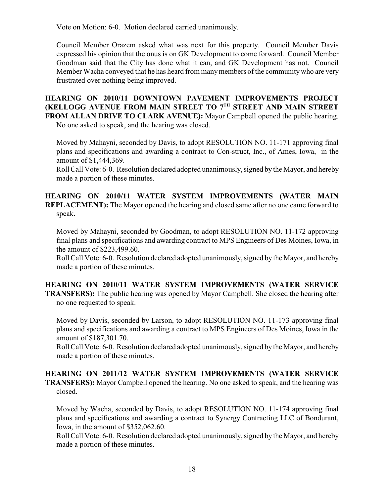Vote on Motion: 6-0. Motion declared carried unanimously.

Council Member Orazem asked what was next for this property. Council Member Davis expressed his opinion that the onus is on GK Development to come forward. Council Member Goodman said that the City has done what it can, and GK Development has not. Council Member Wacha conveyed that he has heard from many members of the community who are very frustrated over nothing being improved.

**HEARING ON 2010/11 DOWNTOWN PAVEMENT IMPROVEMENTS PROJECT (KELLOGG AVENUE FROM MAIN STREET TO 7<sup>TH</sup> STREET AND MAIN STREET FROM ALLAN DRIVE TO CLARK AVENUE):** Mayor Campbell opened the public hearing. No one asked to speak, and the hearing was closed.

Moved by Mahayni, seconded by Davis, to adopt RESOLUTION NO. 11-171 approving final plans and specifications and awarding a contract to Con-struct, Inc., of Ames, Iowa, in the amount of \$1,444,369.

Roll Call Vote: 6-0. Resolution declared adopted unanimously, signed by the Mayor, and hereby made a portion of these minutes.

**HEARING ON 2010/11 WATER SYSTEM IMPROVEMENTS (WATER MAIN REPLACEMENT):** The Mayor opened the hearing and closed same after no one came forward to speak.

Moved by Mahayni, seconded by Goodman, to adopt RESOLUTION NO. 11-172 approving final plans and specifications and awarding contract to MPS Engineers of Des Moines, Iowa, in the amount of \$223,499.60.

Roll Call Vote: 6-0. Resolution declared adopted unanimously, signed by the Mayor, and hereby made a portion of these minutes.

**HEARING ON 2010/11 WATER SYSTEM IMPROVEMENTS (WATER SERVICE TRANSFERS):** The public hearing was opened by Mayor Campbell. She closed the hearing after no one requested to speak.

Moved by Davis, seconded by Larson, to adopt RESOLUTION NO. 11-173 approving final plans and specifications and awarding a contract to MPS Engineers of Des Moines, Iowa in the amount of \$187,301.70.

Roll Call Vote: 6-0. Resolution declared adopted unanimously, signed by the Mayor, and hereby made a portion of these minutes.

**HEARING ON 2011/12 WATER SYSTEM IMPROVEMENTS (WATER SERVICE TRANSFERS):** Mayor Campbell opened the hearing. No one asked to speak, and the hearing was closed.

Moved by Wacha, seconded by Davis, to adopt RESOLUTION NO. 11-174 approving final plans and specifications and awarding a contract to Synergy Contracting LLC of Bondurant, Iowa, in the amount of \$352,062.60.

Roll Call Vote: 6-0. Resolution declared adopted unanimously, signed by the Mayor, and hereby made a portion of these minutes.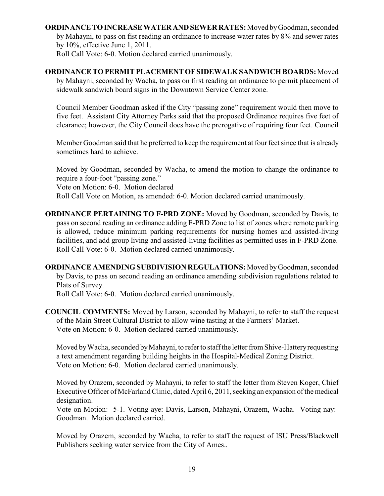**ORDINANCE TO INCREASE WATER AND SEWER RATES:** Moved by Goodman, seconded by Mahayni, to pass on fist reading an ordinance to increase water rates by 8% and sewer rates by 10%, effective June 1, 2011. Roll Call Vote: 6-0. Motion declared carried unanimously.

**ORDINANCE TO PERMIT PLACEMENT OF SIDEWALK SANDWICH BOARDS:** Moved by Mahayni, seconded by Wacha, to pass on first reading an ordinance to permit placement of sidewalk sandwich board signs in the Downtown Service Center zone.

Council Member Goodman asked if the City "passing zone" requirement would then move to five feet. Assistant City Attorney Parks said that the proposed Ordinance requires five feet of clearance; however, the City Council does have the prerogative of requiring four feet. Council

Member Goodman said that he preferred to keep the requirement at four feet since that is already sometimes hard to achieve.

Moved by Goodman, seconded by Wacha, to amend the motion to change the ordinance to require a four-foot "passing zone." Vote on Motion: 6-0. Motion declared Roll Call Vote on Motion, as amended: 6-0. Motion declared carried unanimously.

**ORDINANCE PERTAINING TO F-PRD ZONE:** Moved by Goodman, seconded by Davis, to pass on second reading an ordinance adding F-PRD Zone to list of zones where remote parking is allowed, reduce minimum parking requirements for nursing homes and assisted-living facilities, and add group living and assisted-living facilities as permitted uses in F-PRD Zone. Roll Call Vote: 6-0. Motion declared carried unanimously.

**ORDINANCE AMENDING SUBDIVISION REGULATIONS:** Moved byGoodman, seconded by Davis, to pass on second reading an ordinance amending subdivision regulations related to Plats of Survey.

Roll Call Vote: 6-0. Motion declared carried unanimously.

**COUNCIL COMMENTS:** Moved by Larson, seconded by Mahayni, to refer to staff the request of the Main Street Cultural District to allow wine tasting at the Farmers' Market. Vote on Motion: 6-0. Motion declared carried unanimously.

Moved by Wacha, seconded by Mahayni, to refer to staff the letter from Shive-Hattery requesting a text amendment regarding building heights in the Hospital-Medical Zoning District. Vote on Motion: 6-0. Motion declared carried unanimously.

Moved by Orazem, seconded by Mahayni, to refer to staff the letter from Steven Koger, Chief Executive Officer of McFarland Clinic, dated April 6, 2011, seeking an expansion of the medical designation.

Vote on Motion: 5-1. Voting aye: Davis, Larson, Mahayni, Orazem, Wacha. Voting nay: Goodman. Motion declared carried.

Moved by Orazem, seconded by Wacha, to refer to staff the request of ISU Press/Blackwell Publishers seeking water service from the City of Ames..